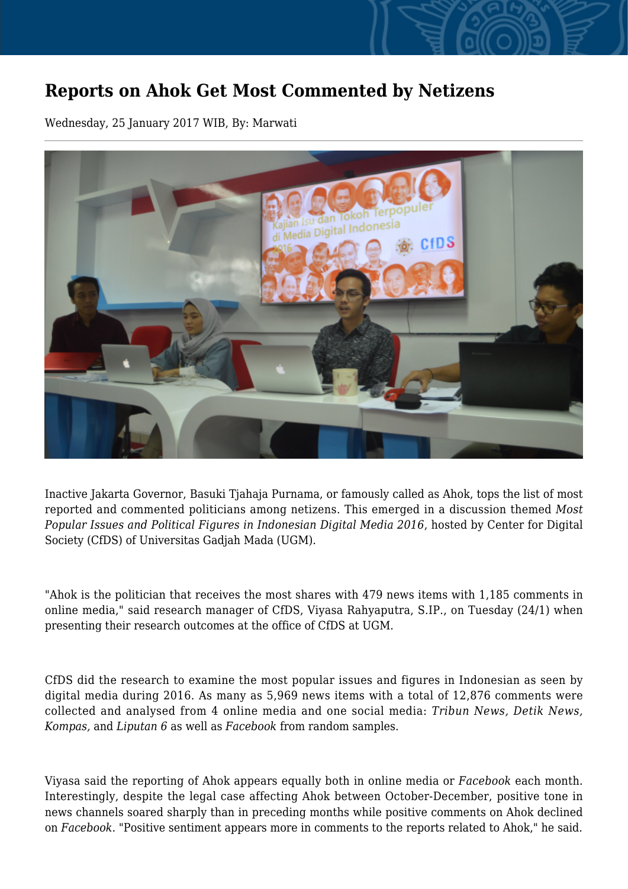## **Reports on Ahok Get Most Commented by Netizens**

Wednesday, 25 January 2017 WIB, By: Marwati



Inactive Jakarta Governor, Basuki Tjahaja Purnama, or famously called as Ahok, tops the list of most reported and commented politicians among netizens. This emerged in a discussion themed *Most Popular Issues and Political Figures in Indonesian Digital Media 2016*, hosted by Center for Digital Society (CfDS) of Universitas Gadjah Mada (UGM).

"Ahok is the politician that receives the most shares with 479 news items with 1,185 comments in online media," said research manager of CfDS, Viyasa Rahyaputra, S.IP., on Tuesday (24/1) when presenting their research outcomes at the office of CfDS at UGM.

CfDS did the research to examine the most popular issues and figures in Indonesian as seen by digital media during 2016. As many as 5,969 news items with a total of 12,876 comments were collected and analysed from 4 online media and one social media: *Tribun News, Detik News, Kompas,* and *Liputan 6* as well as *Facebook* from random samples.

Viyasa said the reporting of Ahok appears equally both in online media or *Facebook* each month. Interestingly, despite the legal case affecting Ahok between October-December, positive tone in news channels soared sharply than in preceding months while positive comments on Ahok declined on *Facebook*. "Positive sentiment appears more in comments to the reports related to Ahok," he said.